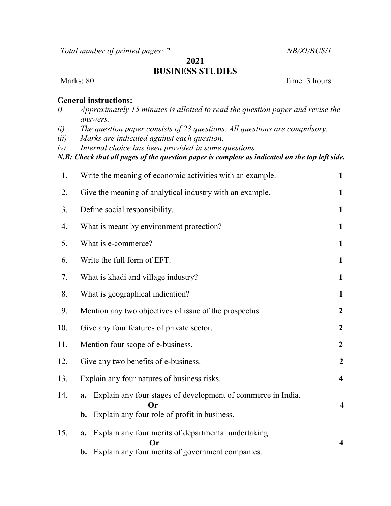Total number of printed pages: 2 NB/XI/BUS/1

## 2021 BUSINESS STUDIES

Marks: 80 Time: 3 hours

## General instructions:

- i) Approximately 15 minutes is allotted to read the question paper and revise the answers.
- ii) The question paper consists of 23 questions. All questions are compulsory.
- iii) Marks are indicated against each question.
- iv) Internal choice has been provided in some questions.

N.B: Check that all pages of the question paper is complete as indicated on the top left side.

| 1.  | Write the meaning of economic activities with an example.<br>1                                                                        |                         |  |  |
|-----|---------------------------------------------------------------------------------------------------------------------------------------|-------------------------|--|--|
| 2.  | Give the meaning of analytical industry with an example.                                                                              | 1                       |  |  |
| 3.  | Define social responsibility.<br>$\mathbf{1}$                                                                                         |                         |  |  |
| 4.  | What is meant by environment protection?<br>$\mathbf{1}$                                                                              |                         |  |  |
| 5.  | What is e-commerce?<br>$\mathbf{1}$                                                                                                   |                         |  |  |
| 6.  | Write the full form of EFT.<br>1                                                                                                      |                         |  |  |
| 7.  | What is khadi and village industry?                                                                                                   | 1                       |  |  |
| 8.  | What is geographical indication?<br>$\mathbf{1}$                                                                                      |                         |  |  |
| 9.  | Mention any two objectives of issue of the prospectus.<br>$\boldsymbol{2}$                                                            |                         |  |  |
| 10. | Give any four features of private sector.                                                                                             | $\overline{2}$          |  |  |
| 11. | Mention four scope of e-business.<br>$\boldsymbol{2}$                                                                                 |                         |  |  |
| 12. | Give any two benefits of e-business.<br>$\overline{2}$                                                                                |                         |  |  |
| 13. | Explain any four natures of business risks.                                                                                           | $\overline{\mathbf{4}}$ |  |  |
| 14. | Explain any four stages of development of commerce in India.<br>a.<br>$\bf{Or}$<br>Explain any four role of profit in business.<br>b. | $\overline{\mathbf{4}}$ |  |  |
| 15. | Explain any four merits of departmental undertaking.<br>a.<br>Оr<br>Explain any four merits of government companies.<br>b.            | $\overline{\mathbf{4}}$ |  |  |
|     |                                                                                                                                       |                         |  |  |